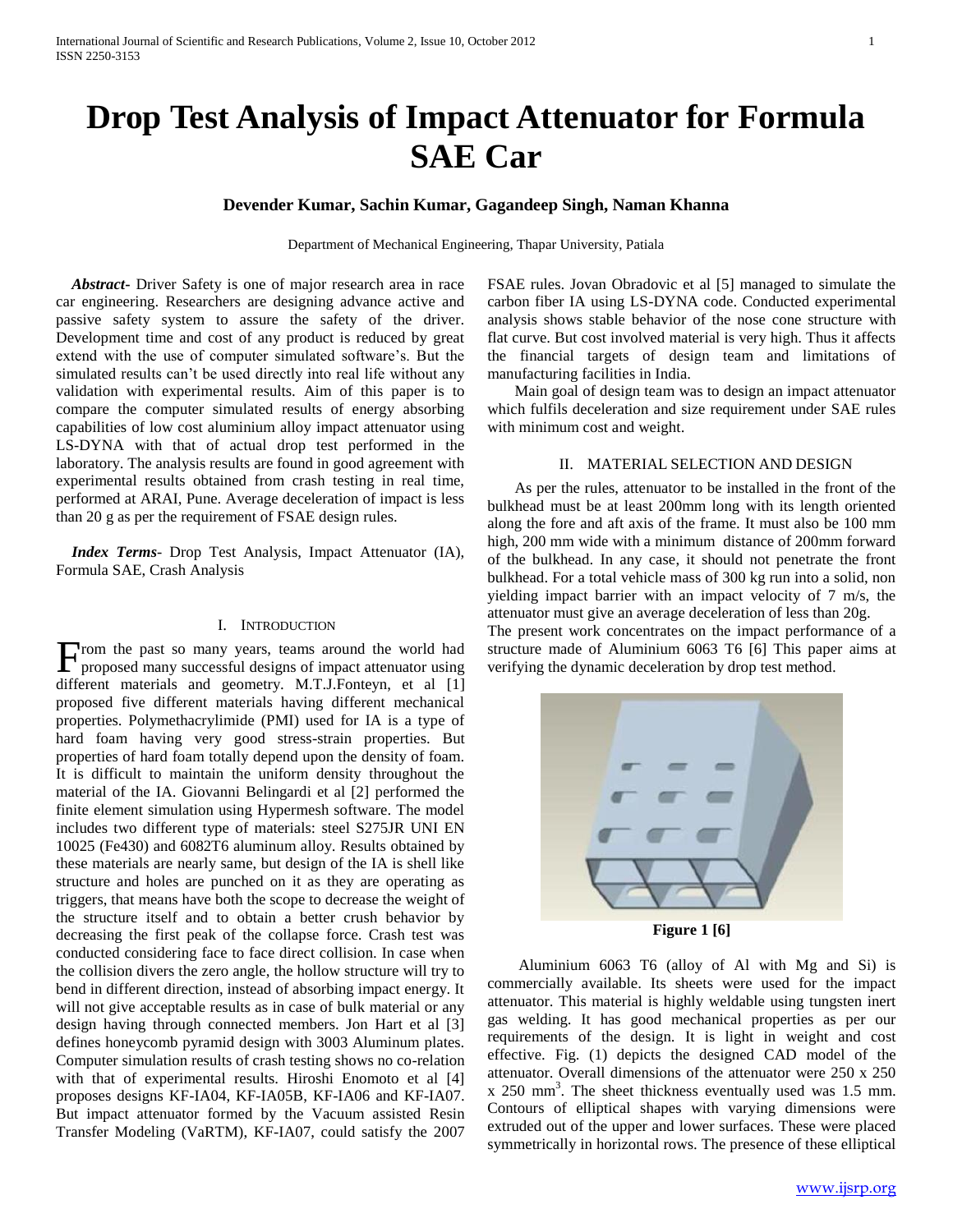# **Drop Test Analysis of Impact Attenuator for Formula SAE Car**

# **Devender Kumar, Sachin Kumar, Gagandeep Singh, Naman Khanna**

Department of Mechanical Engineering, Thapar University, Patiala

 *Abstract***-** Driver Safety is one of major research area in race car engineering. Researchers are designing advance active and passive safety system to assure the safety of the driver. Development time and cost of any product is reduced by great extend with the use of computer simulated software's. But the simulated results can't be used directly into real life without any validation with experimental results. Aim of this paper is to compare the computer simulated results of energy absorbing capabilities of low cost aluminium alloy impact attenuator using LS-DYNA with that of actual drop test performed in the laboratory. The analysis results are found in good agreement with experimental results obtained from crash testing in real time, performed at ARAI, Pune. Average deceleration of impact is less than 20 g as per the requirement of FSAE design rules.

 *Index Terms*- Drop Test Analysis, Impact Attenuator (IA), Formula SAE, Crash Analysis

## I. INTRODUCTION

From the past so many years, teams around the world had proposed many successful designs of impact attenuator using proposed many successful designs of impact attenuator using different materials and geometry. M.T.J.Fonteyn, et al [1] proposed five different materials having different mechanical properties. Polymethacrylimide (PMI) used for IA is a type of hard foam having very good stress-strain properties. But properties of hard foam totally depend upon the density of foam. It is difficult to maintain the uniform density throughout the material of the IA. Giovanni Belingardi et al [2] performed the finite element simulation using Hypermesh software. The model includes two different type of materials: steel S275JR UNI EN 10025 (Fe430) and 6082T6 aluminum alloy. Results obtained by these materials are nearly same, but design of the IA is shell like structure and holes are punched on it as they are operating as triggers, that means have both the scope to decrease the weight of the structure itself and to obtain a better crush behavior by decreasing the first peak of the collapse force. Crash test was conducted considering face to face direct collision. In case when the collision divers the zero angle, the hollow structure will try to bend in different direction, instead of absorbing impact energy. It will not give acceptable results as in case of bulk material or any design having through connected members. Jon Hart et al [3] defines honeycomb pyramid design with 3003 Aluminum plates. Computer simulation results of crash testing shows no co-relation with that of experimental results. Hiroshi Enomoto et al [4] proposes designs KF-IA04, KF-IA05B, KF-IA06 and KF-IA07. But impact attenuator formed by the Vacuum assisted Resin Transfer Modeling (VaRTM), KF-IA07, could satisfy the 2007

FSAE rules. Jovan Obradovic et al [5] managed to simulate the carbon fiber IA using LS-DYNA code. Conducted experimental analysis shows stable behavior of the nose cone structure with flat curve. But cost involved material is very high. Thus it affects the financial targets of design team and limitations of manufacturing facilities in India.

 Main goal of design team was to design an impact attenuator which fulfils deceleration and size requirement under SAE rules with minimum cost and weight.

### II. MATERIAL SELECTION AND DESIGN

 As per the rules, attenuator to be installed in the front of the bulkhead must be at least 200mm long with its length oriented along the fore and aft axis of the frame. It must also be 100 mm high, 200 mm wide with a minimum distance of 200mm forward of the bulkhead. In any case, it should not penetrate the front bulkhead. For a total vehicle mass of 300 kg run into a solid, non yielding impact barrier with an impact velocity of 7 m/s, the attenuator must give an average deceleration of less than 20g. The present work concentrates on the impact performance of a

structure made of Aluminium 6063 T6 [6] This paper aims at verifying the dynamic deceleration by drop test method.



**Figure 1 [6]**

 Aluminium 6063 T6 (alloy of Al with Mg and Si) is commercially available. Its sheets were used for the impact attenuator. This material is highly weldable using tungsten inert gas welding. It has good mechanical properties as per our requirements of the design. It is light in weight and cost effective. Fig. (1) depicts the designed CAD model of the attenuator. Overall dimensions of the attenuator were 250 x 250  $x$  250 mm<sup>3</sup>. The sheet thickness eventually used was 1.5 mm. Contours of elliptical shapes with varying dimensions were extruded out of the upper and lower surfaces. These were placed symmetrically in horizontal rows. The presence of these elliptical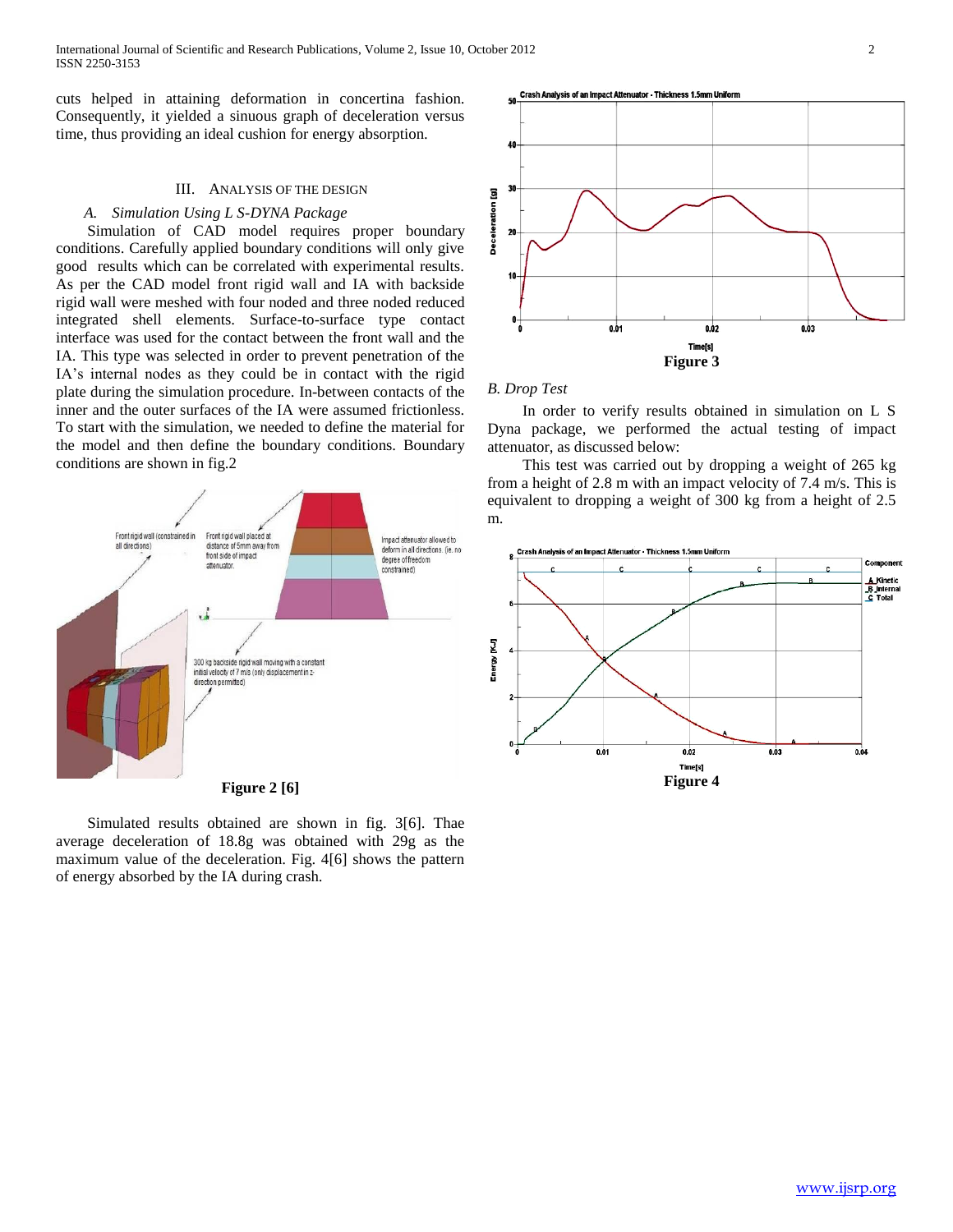International Journal of Scientific and Research Publications, Volume 2, Issue 10, October 2012 2 ISSN 2250-3153

cuts helped in attaining deformation in concertina fashion. Consequently, it yielded a sinuous graph of deceleration versus time, thus providing an ideal cushion for energy absorption.

## III. ANALYSIS OF THE DESIGN

## *A. Simulation Using L S-DYNA Package*

 Simulation of CAD model requires proper boundary conditions. Carefully applied boundary conditions will only give good results which can be correlated with experimental results. As per the CAD model front rigid wall and IA with backside rigid wall were meshed with four noded and three noded reduced integrated shell elements. Surface-to-surface type contact interface was used for the contact between the front wall and the IA. This type was selected in order to prevent penetration of the IA's internal nodes as they could be in contact with the rigid plate during the simulation procedure. In-between contacts of the inner and the outer surfaces of the IA were assumed frictionless. To start with the simulation, we needed to define the material for the model and then define the boundary conditions. Boundary conditions are shown in fig.2



 Simulated results obtained are shown in fig. 3[6]. Thae average deceleration of 18.8g was obtained with 29g as the maximum value of the deceleration. Fig. 4[6] shows the pattern of energy absorbed by the IA during crash.



## *B. Drop Test*

 In order to verify results obtained in simulation on L S Dyna package, we performed the actual testing of impact attenuator, as discussed below:

 This test was carried out by dropping a weight of 265 kg from a height of 2.8 m with an impact velocity of 7.4 m/s. This is equivalent to dropping a weight of 300 kg from a height of 2.5 m.

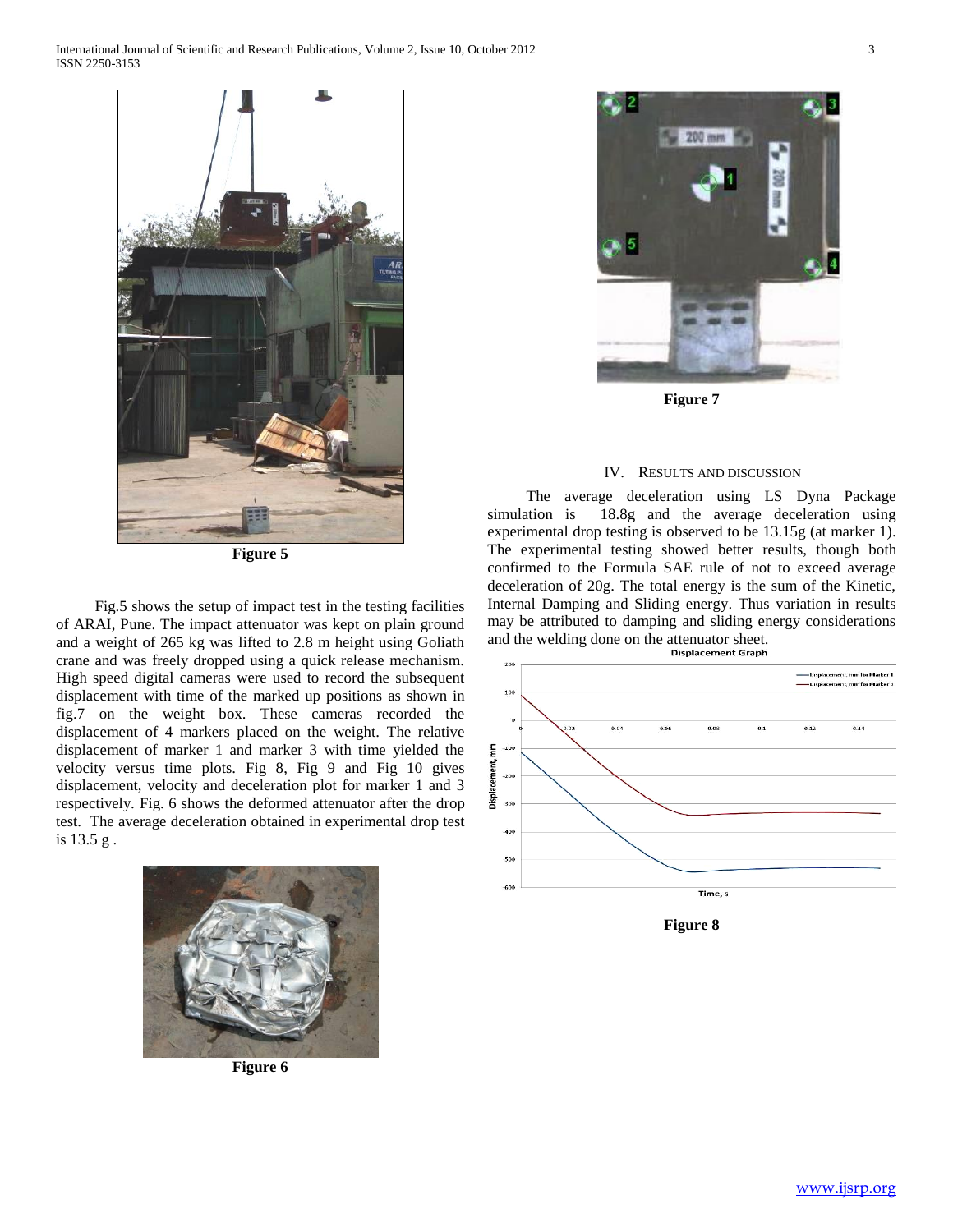

**Figure 5**

 Fig.5 shows the setup of impact test in the testing facilities of ARAI, Pune. The impact attenuator was kept on plain ground and a weight of 265 kg was lifted to 2.8 m height using Goliath crane and was freely dropped using a quick release mechanism. High speed digital cameras were used to record the subsequent displacement with time of the marked up positions as shown in fig.7 on the weight box. These cameras recorded the displacement of 4 markers placed on the weight. The relative displacement of marker 1 and marker 3 with time yielded the velocity versus time plots. Fig 8, Fig 9 and Fig 10 gives displacement, velocity and deceleration plot for marker 1 and 3 respectively. Fig. 6 shows the deformed attenuator after the drop test. The average deceleration obtained in experimental drop test is 13.5 g .



**Figure 6**



**Figure 7**

#### IV. RESULTS AND DISCUSSION

 The average deceleration using LS Dyna Package simulation is 18.8g and the average deceleration using experimental drop testing is observed to be 13.15g (at marker 1). The experimental testing showed better results, though both confirmed to the Formula SAE rule of not to exceed average deceleration of 20g. The total energy is the sum of the Kinetic, Internal Damping and Sliding energy. Thus variation in results may be attributed to damping and sliding energy considerations and the welding done on the attenuator sheet.<br>Displacement Graph



**Figure 8**